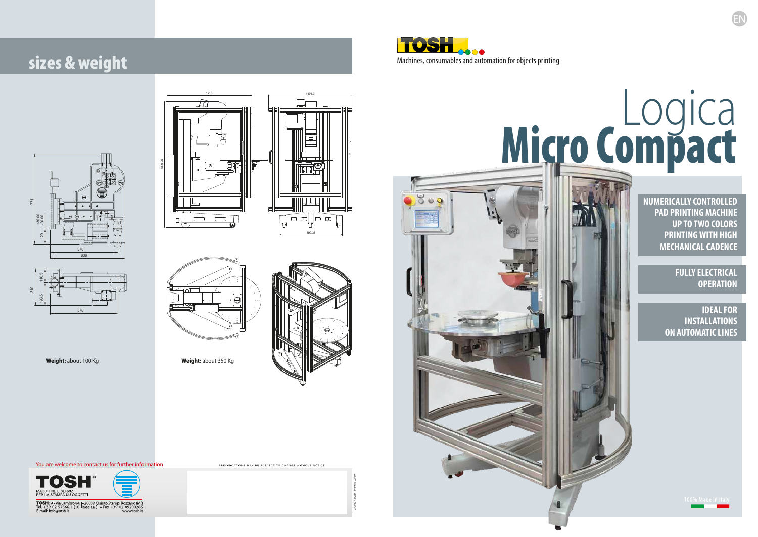EN





# Logica Micro Compact



**Weight:** about 100 Kg **Weight:** about 350 Kg







GRAFICA TOSH - Printed 02/19

.<br>SPECIFICATIONS MAY BE SUBJECT TO CHANGE WITHOUT NOTICE

You are welcome to contact us for further information



**TOSH** s.d. - Via Lambro 84, I - 20089 Quinto Stampi Rozzano (MI)<br>Tel. +39 02 57566.1 (10 linee r.a.) - Fax +39 02 89200266<br>E-mail: info@tosh.it www.tosh.it

**IDEAL FOR INSTALLATIONS ON AUTOMATIC LINES**



**FULLY ELECTRICAL OPERATION**

**NUMERICALLY CONTROLLED PAD PRINTING MACHINE UP TO TWO COLORS PRINTING WITH HIGH MECHANICAL CADENCE**